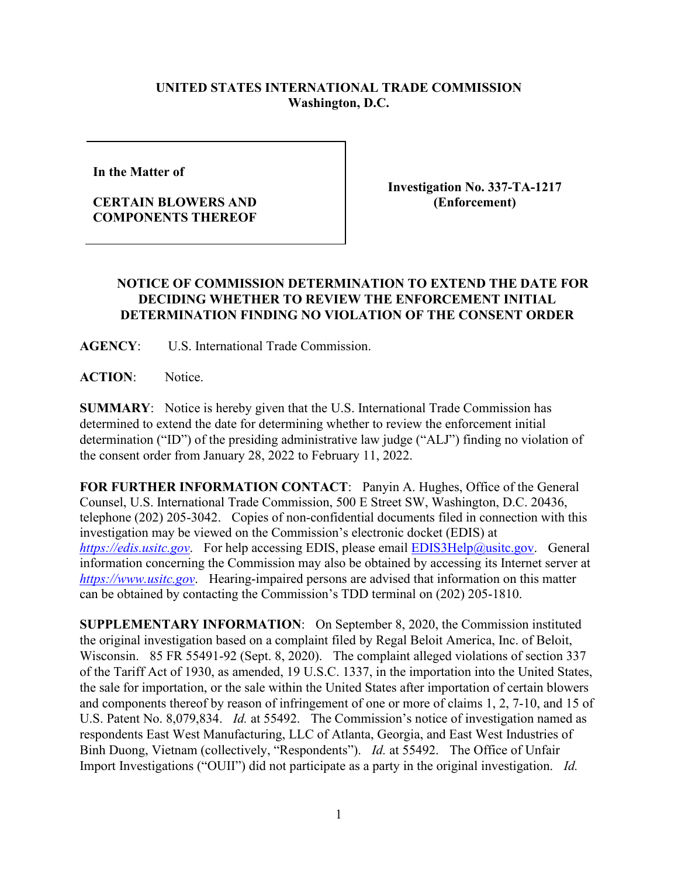## **UNITED STATES INTERNATIONAL TRADE COMMISSION Washington, D.C.**

**In the Matter of** 

## **CERTAIN BLOWERS AND COMPONENTS THEREOF**

**Investigation No. 337-TA-1217 (Enforcement)**

## **NOTICE OF COMMISSION DETERMINATION TO EXTEND THE DATE FOR DECIDING WHETHER TO REVIEW THE ENFORCEMENT INITIAL DETERMINATION FINDING NO VIOLATION OF THE CONSENT ORDER**

**AGENCY**: U.S. International Trade Commission.

**ACTION**: Notice.

**SUMMARY**: Notice is hereby given that the U.S. International Trade Commission has determined to extend the date for determining whether to review the enforcement initial determination ("ID") of the presiding administrative law judge ("ALJ") finding no violation of the consent order from January 28, 2022 to February 11, 2022.

**FOR FURTHER INFORMATION CONTACT**: Panyin A. Hughes, Office of the General Counsel, U.S. International Trade Commission, 500 E Street SW, Washington, D.C. 20436, telephone (202) 205-3042. Copies of non-confidential documents filed in connection with this investigation may be viewed on the Commission's electronic docket (EDIS) at *[https://edis.usitc.gov](https://edis.usitc.gov/)*. For help accessing EDIS, please email [EDIS3Help@usitc.gov.](mailto:EDIS3Help@usitc.gov) General information concerning the Commission may also be obtained by accessing its Internet server at *[https://www.usitc.gov](https://www.usitc.gov/)*. Hearing-impaired persons are advised that information on this matter can be obtained by contacting the Commission's TDD terminal on (202) 205-1810.

**SUPPLEMENTARY INFORMATION**: On September 8, 2020, the Commission instituted the original investigation based on a complaint filed by Regal Beloit America, Inc. of Beloit, Wisconsin. 85 FR 55491-92 (Sept. 8, 2020). The complaint alleged violations of section 337 of the Tariff Act of 1930, as amended, 19 U.S.C. 1337, in the importation into the United States, the sale for importation, or the sale within the United States after importation of certain blowers and components thereof by reason of infringement of one or more of claims 1, 2, 7-10, and 15 of U.S. Patent No. 8,079,834. *Id.* at 55492. The Commission's notice of investigation named as respondents East West Manufacturing, LLC of Atlanta, Georgia, and East West Industries of Binh Duong, Vietnam (collectively, "Respondents"). *Id.* at 55492. The Office of Unfair Import Investigations ("OUII") did not participate as a party in the original investigation. *Id.*